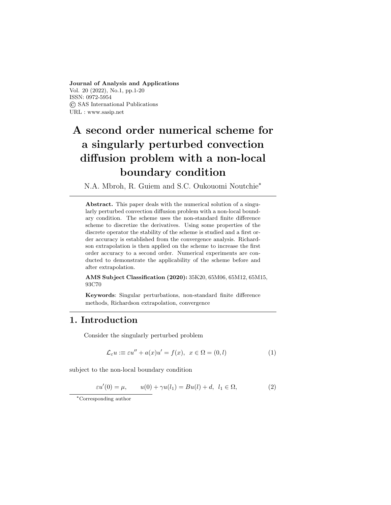#### Journal of Analysis and Applications

Vol. 20 (2022), No.1, pp.1-20 ISSN: 0972-5954 © SAS International Publications URL : www.sasip.net

# A second order numerical scheme for a singularly perturbed convection diffusion problem with a non-local boundary condition

N.A. Mbroh, R. Guiem and S.C. Oukouomi Noutchie\*

Abstract. This paper deals with the numerical solution of a singularly perturbed convection diffusion problem with a non-local boundary condition. The scheme uses the non-standard finite difference scheme to discretize the derivatives. Using some properties of the discrete operator the stability of the scheme is studied and a first order accuracy is established from the convergence analysis. Richardson extrapolation is then applied on the scheme to increase the first order accuracy to a second order. Numerical experiments are conducted to demonstrate the applicability of the scheme before and after extrapolation.

AMS Subject Classification (2020): 35K20, 65M06, 65M12, 65M15, 93C70

Keywords: Singular perturbations, non-standard finite difference methods, Richardson extrapolation, convergence

# 1. Introduction

Consider the singularly perturbed problem

$$
\mathcal{L}_{\varepsilon}u := \varepsilon u'' + a(x)u' = f(x), \quad x \in \Omega = (0, l)
$$
 (1)

subject to the non-local boundary condition

$$
\varepsilon u'(0) = \mu, \qquad u(0) + \gamma u(l_1) = Bu(l) + d, \quad l_1 \in \Omega,
$$
\n
$$
(2)
$$

<sup>\*</sup>Corresponding author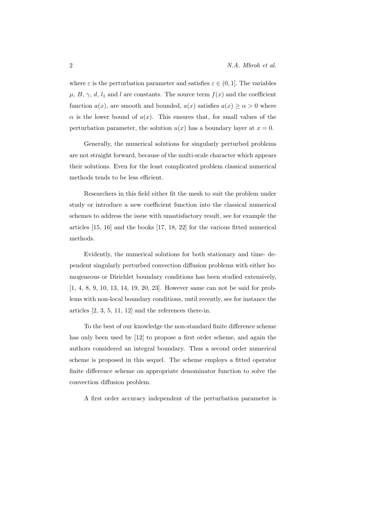where  $\varepsilon$  is the perturbation parameter and satisfies  $\varepsilon \in (0,1]$ . The variables  $\mu$ , B,  $\gamma$ , d,  $l_1$  and l are constants. The source term  $f(x)$  and the coefficient function  $a(x)$ , are smooth and bounded,  $a(x)$  satisfies  $a(x) \ge \alpha > 0$  where  $\alpha$  is the lower bound of  $a(x)$ . This ensures that, for small values of the perturbation parameter, the solution  $u(x)$  has a boundary layer at  $x = 0$ .

Generally, the numerical solutions for singularly perturbed problems are not straight forward, because of the multi-scale character which appears their solutions. Even for the least complicated problem classical numerical methods tends to be less efficient.

Researchers in this field either fit the mesh to suit the problem under study or introduce a new coefficient function into the classical numerical schemes to address the issue with unsatisfactory result, see for example the articles [15, 16] and the books [17, 18, 22] for the various fitted numerical methods.

Evidently, the numerical solutions for both stationary and time- dependent singularly perturbed convection diffusion problems with either homogeneous or Dirichlet boundary conditions has been studied extensively, [1, 4, 8, 9, 10, 13, 14, 19, 20, 23]. However same can not be said for problems with non-local boundary conditions, until recently, see for instance the articles  $[2, 3, 5, 11, 12]$  and the references there-in.

To the best of our knowledge the non-standard finite difference scheme has only been used by [12] to propose a first order scheme, and again the authors considered an integral boundary. Thus a second order numerical scheme is proposed in this sequel. The scheme employs a fitted operator finite difference scheme on appropriate denominator function to solve the convection diffusion problem.

A first order accuracy independent of the perturbation parameter is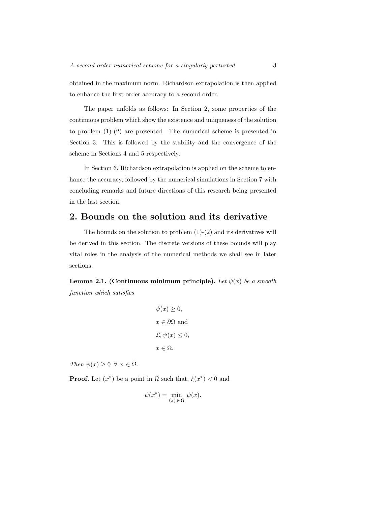obtained in the maximum norm. Richardson extrapolation is then applied to enhance the first order accuracy to a second order.

The paper unfolds as follows: In Section 2, some properties of the continuous problem which show the existence and uniqueness of the solution to problem (1)-(2) are presented. The numerical scheme is presented in Section 3. This is followed by the stability and the convergence of the scheme in Sections 4 and 5 respectively.

In Section 6, Richardson extrapolation is applied on the scheme to enhance the accuracy, followed by the numerical simulations in Section 7 with concluding remarks and future directions of this research being presented in the last section.

#### 2. Bounds on the solution and its derivative

The bounds on the solution to problem  $(1)-(2)$  and its derivatives will be derived in this section. The discrete versions of these bounds will play vital roles in the analysis of the numerical methods we shall see in later sections.

Lemma 2.1. (Continuous minimum principle). Let  $\psi(x)$  be a smooth function which satisfies

$$
\psi(x) \ge 0,
$$
  

$$
x \in \partial \Omega \text{ and}
$$
  

$$
\mathcal{L}_{\varepsilon} \psi(x) \le 0,
$$
  

$$
x \in \Omega.
$$

Then  $\psi(x) \geq 0 \ \forall \ x \in \overline{\Omega}$ .

**Proof.** Let  $(x^*)$  be a point in  $\Omega$  such that,  $\xi(x^*) < 0$  and

$$
\psi(x^*) = \min_{(x) \in \overline{\Omega}} \psi(x).
$$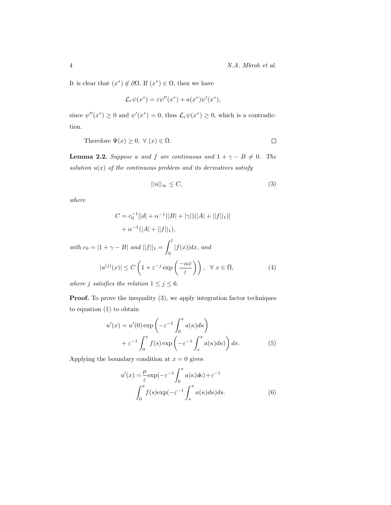It is clear that  $(x^*) \notin \partial \Omega$ . If  $(x^*) \in \Omega$ , then we have

$$
\mathcal{L}_{\varepsilon}\psi(x^*) = \varepsilon\psi''(x^*) + a(x^*)\psi'(x^*),
$$

since  $\psi''(x^*) \ge 0$  and  $\psi'(x^*) = 0$ , thus  $\mathcal{L}_{\varepsilon} \psi(x^*) \ge 0$ , which is a contradiction.

Therefore 
$$
\Psi(x) \geq 0, \forall (x) \in \overline{\Omega}
$$
.

**Lemma 2.2.** Suppose a and f are continuous and  $1 + \gamma - B \neq 0$ . The solution  $u(x)$  of the continuous problem and its derivatives satisfy

$$
||u||_{\infty} \le C,\tag{3}
$$

where

$$
C = c_0^{-1} [|d| + \alpha^{-1}(|B| + |\gamma|)(|A| + ||f||_1)]
$$
  
+  $\alpha^{-1}(|A| + ||f||_1)$ ,  
with  $c_0 = |1 + \gamma - B|$  and  $||f||_1 = \int_0^l |f(x)|dx$ , and  

$$
|u^{(j)}(x)| \le C \left(1 + \varepsilon^{-j} \exp\left(\frac{-\alpha x}{\varepsilon}\right)\right), \quad \forall x \in \overline{\Omega},
$$
 (4)

where j satisfies the relation  $1 \le j \le 6$ .

**Proof.** To prove the inequality  $(3)$ , we apply integration factor techniques to equation (1) to obtain

$$
u'(x) = u'(0) \exp\left(-\varepsilon^{-1} \int_0^x a(\kappa) d\kappa\right)
$$
  
 
$$
+ \varepsilon^{-1} \int_0^x f(s) \exp\left(-\varepsilon^{-1} \int_s^x a(\kappa) d\kappa\right) ds.
$$
 (5)

Applying the boundary condition at  $x = 0$  gives

$$
u'(x) = \frac{\mu}{\varepsilon} \exp(-\varepsilon^{-1} \int_0^x a(\kappa) d\kappa) + \varepsilon^{-1}
$$

$$
\int_0^x f(s) \exp(-\varepsilon^{-1} \int_s^x a(\kappa) d\kappa) ds.
$$
(6)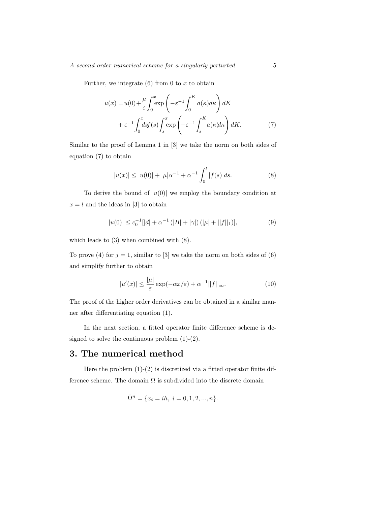Further, we integrate  $(6)$  from 0 to x to obtain

$$
u(x) = u(0) + \frac{\mu}{\varepsilon} \int_0^x \exp\left(-\varepsilon^{-1} \int_0^K a(\kappa) d\kappa\right) dK
$$
  
+  $\varepsilon^{-1} \int_0^x ds f(s) \int_s^x \exp\left(-\varepsilon^{-1} \int_s^K a(\kappa) d\kappa\right) dK.$  (7)

Similar to the proof of Lemma 1 in [3] we take the norm on both sides of equation (7) to obtain

$$
|u(x)| \le |u(0)| + |\mu|\alpha^{-1} + \alpha^{-1} \int_0^l |f(s)|ds.
$$
 (8)

To derive the bound of  $|u(0)|$  we employ the boundary condition at  $x = l$  and the ideas in [3] to obtain

$$
|u(0)| \le c_0^{-1} [|d| + \alpha^{-1} (|B| + |\gamma|) (|\mu| + ||f||_1)], \tag{9}
$$

which leads to (3) when combined with (8).

To prove (4) for  $j = 1$ , similar to [3] we take the norm on both sides of (6) and simplify further to obtain

$$
|u'(x)| \le \frac{|\mu|}{\varepsilon} \exp(-\alpha x/\varepsilon) + \alpha^{-1} ||f||_{\infty}.
$$
 (10)

The proof of the higher order derivatives can be obtained in a similar man- $\Box$ ner after differentiating equation (1).

In the next section, a fitted operator finite difference scheme is designed to solve the continuous problem (1)-(2).

### 3. The numerical method

Here the problem  $(1)-(2)$  is discretized via a fitted operator finite difference scheme. The domain  $\Omega$  is subdivided into the discrete domain

$$
\bar{\Omega}^n = \{x_i = ih, \ i = 0, 1, 2, ..., n\}.
$$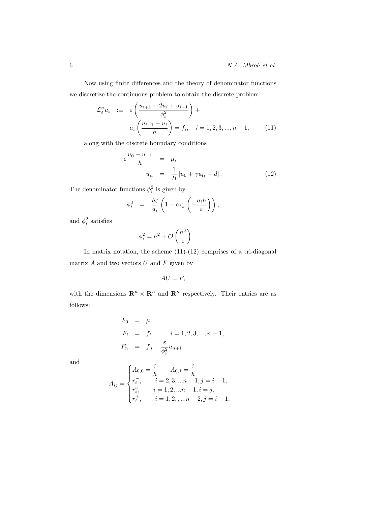Now using finite differences and the theory of denominator functions we discretize the continuous problem to obtain the discrete problem

$$
\mathcal{L}_{\varepsilon}^{n} u_{i} \quad := \quad \varepsilon \left( \frac{u_{i+1} - 2u_{i} + u_{i-1}}{\phi_{i}^{2}} \right) +
$$
\n
$$
a_{i} \left( \frac{u_{i+1} - u_{i}}{h} \right) = f_{i}, \quad i = 1, 2, 3, ..., n - 1, \quad (11)
$$

along with the discrete boundary conditions

$$
\varepsilon \frac{u_0 - u_{-1}}{h} = \mu,
$$
  

$$
u_n = \frac{1}{B} [u_0 + \gamma u_{l_1} - d].
$$
 (12)

The denominator functions  $\phi_i^2$  is given by

$$
\phi_i^2 = \frac{h\varepsilon}{a_i} \left( 1 - \exp\left( -\frac{a_i h}{\varepsilon} \right) \right),
$$

and  $\phi_i^2$  satisfies

$$
\phi_i^2 = h^2 + \mathcal{O}\left(\frac{h^3}{\varepsilon}\right).
$$

In matrix notation, the scheme  $(11)-(12)$  comprises of a tri-diagonal matrix  $A$  and two vectors  $U$  and  $F$  given by

$$
AU = F,
$$

with the dimensions  $\mathbb{R}^n \times \mathbb{R}^n$  and  $\mathbb{R}^n$  respectively. Their entries are as follows:

$$
F_0 = \mu
$$
  
\n
$$
F_i = f_i \qquad i = 1, 2, 3, ..., n - 1,
$$
  
\n
$$
F_n = f_n - \frac{\varepsilon}{\phi_i^2} u_{n+1}
$$

and

$$
A_{ij} = \begin{cases} A_{0,0} = \frac{\varepsilon}{h} & A_{0,1} = \frac{\varepsilon}{h} \\ r_i^-, & i = 2, 3, \dots n-1, j = i-1, \\ r_i^c, & i = 1, 2, \dots n-1, i = j, \\ r_i^+, & i = 1, 2, \dots n-2, j = i+1, \end{cases}
$$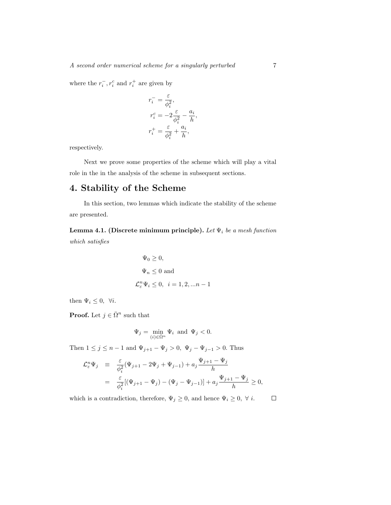where the  $r_i^-, r_i^c$  and  $r_i^+$  are given by

$$
\begin{split} r_i^- &= \frac{\varepsilon}{\phi_i^2}, \\ r_i^c &= -2\frac{\varepsilon}{\phi_i^2} - \frac{a_i}{h}, \\ r_i^+ &= \frac{\varepsilon}{\phi_i^2} + \frac{a_i}{h}, \end{split}
$$

respectively.

Next we prove some properties of the scheme which will play a vital role in the in the analysis of the scheme in subsequent sections.

# 4. Stability of the Scheme

In this section, two lemmas which indicate the stability of the scheme are presented.

Lemma 4.1. (Discrete minimum principle). Let  $\Psi_i$  be a mesh function which satisfies

$$
\Psi_0 \ge 0,
$$
  
\n
$$
\Psi_n \le 0 \text{ and}
$$
  
\n
$$
\mathcal{L}_{\varepsilon}^n \Psi_i \le 0, \quad i = 1, 2, \dots n - 1
$$

then  $\Psi_i \leq 0$ ,  $\forall i$ .

**Proof.** Let  $j \in \overline{\Omega}^n$  such that

$$
\Psi_j = \min_{(i) \in \bar{\Omega}^n} \Psi_i \text{ and } \Psi_j < 0.
$$

Then  $1 \le j \le n-1$  and  $\Psi_{j+1} - \Psi_j > 0$ ,  $\Psi_j - \Psi_{j-1} > 0$ . Thus

$$
\mathcal{L}_{\varepsilon}^{n} \Psi_{j} \equiv \frac{\varepsilon}{\phi_{i}^{2}} (\Psi_{j+1} - 2\Psi_{j} + \Psi_{j-1}) + a_{j} \frac{\Psi_{j+1} - \Psi_{j}}{h}
$$
  

$$
= \frac{\varepsilon}{\phi_{i}^{2}} [(\Psi_{j+1} - \Psi_{j}) - (\Psi_{j} - \Psi_{j-1})] + a_{j} \frac{\Psi_{j+1} - \Psi_{j}}{h} \ge 0,
$$

which is a contradiction, therefore,  $\Psi_j\geq 0,$  and hence  $\Psi_i\geq 0,~\forall~i.$  $\Box$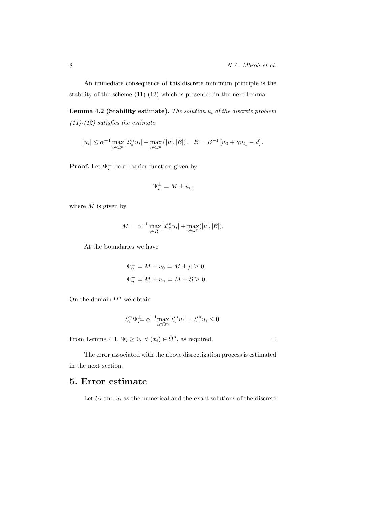$\Box$ 

An immediate consequence of this discrete minimum principle is the stability of the scheme (11)-(12) which is presented in the next lemma.

**Lemma 4.2 (Stability estimate).** The solution  $u_i$  of the discrete problem  $(11)-(12)$  satisfies the estimate

$$
|u_i| \leq \alpha^{-1} \max_{i \in \bar{\Omega}^n} |\mathcal{L}_{\varepsilon}^n u_i| + \max_{i \in \bar{\Omega}^n} (|\mu|, |\mathcal{B}|) , \quad \mathcal{B} = B^{-1} [u_0 + \gamma u_{l_1} - d] .
$$

**Proof.** Let  $\Psi_i^{\pm}$  be a barrier function given by

$$
\Psi_i^{\pm} = M \pm u_i,
$$

where  $M$  is given by

$$
M = \alpha^{-1} \max_{i \in \bar{\Omega}^n} |\mathcal{L}_{\varepsilon}^n u_i| + \max_{i \in \bar{\omega}^n} (|\mu|, |\mathcal{B}|).
$$

At the boundaries we have

$$
\Psi_0^{\pm} = M \pm u_0 = M \pm \mu \ge 0,
$$
  

$$
\Psi_n^{\pm} = M \pm u_n = M \pm \mathcal{B} \ge 0.
$$

On the domain  $\Omega^n$  we obtain

$$
\mathcal{L}_{\varepsilon}^n \Psi_{i}^{\pm} \alpha^{-1} \max_{i \in \bar{\Omega}^n} |\mathcal{L}_{\varepsilon}^n u_i| \pm \mathcal{L}_{\varepsilon}^n u_i \le 0.
$$

From Lemma 4.1,  $\Psi_i \geq 0$ ,  $\forall$   $(x_i) \in \overline{\Omega}^n$ , as required.

The error associated with the above disrectization process is estimated in the next section.

# 5. Error estimate

Let  $U_i$  and  $u_i$  as the numerical and the exact solutions of the discrete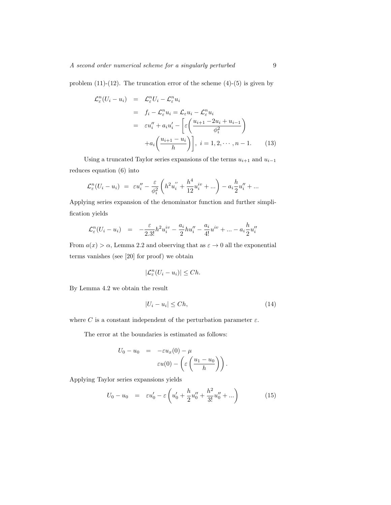problem  $(11)-(12)$ . The truncation error of the scheme  $(4)-(5)$  is given by

$$
\mathcal{L}_{\varepsilon}^{n}(U_{i}-u_{i}) = \mathcal{L}_{\varepsilon}^{n}U_{i} - \mathcal{L}_{\varepsilon}^{n}u_{i}
$$
\n
$$
= f_{i} - \mathcal{L}_{\varepsilon}^{n}u_{i} = \mathcal{L}_{\varepsilon}u_{i} - \mathcal{L}_{\varepsilon}^{n}u_{i}
$$
\n
$$
= \varepsilon u_{i}'' + a_{i}u_{i}' - \left[\varepsilon\left(\frac{u_{i+1} - 2u_{i} + u_{i-1}}{\phi_{i}^{2}}\right) + a_{i}\left(\frac{u_{i+1} - u_{i}}{h}\right)\right], \ i = 1, 2, \cdots, n-1. \tag{13}
$$

Using a truncated Taylor series expansions of the terms  $u_{i+1}$  and  $u_{i-1}$ reduces equation (6) into

$$
\mathcal{L}_{\varepsilon}^{n}(U_{i}-u_{i})\;\;=\;\;\varepsilon u_{i}''-\frac{\varepsilon}{\phi_{i}^{2}}\left(h^{2}u_{i}^{''}+\frac{h^{4}}{12}u_{i}^{iv}+...\right)-a_{i}\frac{h}{2}u_{i}''+\dots
$$

Applying series expansion of the denominator function and further simplification yields

$$
\mathcal{L}_{\varepsilon}^{n}(U_{i}-u_{i}) = -\frac{\varepsilon}{2.3!}h^{2}u_{i}^{iv} - \frac{a_{i}}{2}hu''_{i} - \frac{a_{i}}{4!}u^{iv} + \dots - a_{i}\frac{h}{2}u''_{i}
$$

From  $a(x) > \alpha$ , Lemma 2.2 and observing that as  $\varepsilon \to 0$  all the exponential terms vanishes (see [20] for proof) we obtain

$$
|\mathcal{L}_{\varepsilon}^n(U_i - u_i)| \leq Ch.
$$

By Lemma 4.2 we obtain the result

$$
|U_i - u_i| \le Ch,\t\t(14)
$$

where C is a constant independent of the perturbation parameter  $\varepsilon$ .

The error at the boundaries is estimated as follows:

$$
U_0 - u_0 = -\varepsilon u_x(0) - \mu
$$
  

$$
\varepsilon u(0) - \left(\varepsilon \left(\frac{u_1 - u_0}{h}\right)\right).
$$

Applying Taylor series expansions yields

$$
U_0 - u_0 = \varepsilon u'_0 - \varepsilon \left( u'_0 + \frac{h}{2} u''_0 + \frac{h^2}{3!} u''_0 + \dots \right) \tag{15}
$$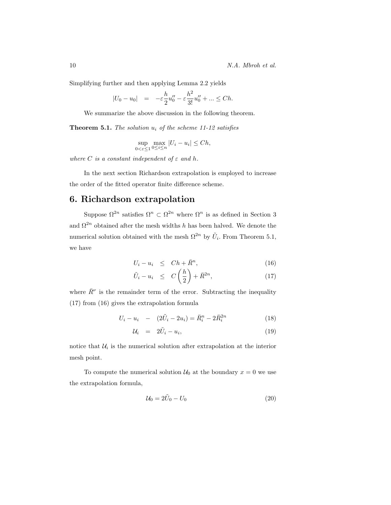Simplifying further and then applying Lemma 2.2 yields

$$
|U_0 - u_0|
$$
 =  $-\varepsilon \frac{h}{2} u''_0 - \varepsilon \frac{h^2}{3!} u''_0 + ... \leq Ch.$ 

We summarize the above discussion in the following theorem.

**Theorem 5.1.** The solution  $u_i$  of the scheme 11-12 satisfies

$$
\sup_{0 < \varepsilon \le 1} \max_{0 \le i \le n} |U_i - u_i| \le Ch,
$$

where C is a constant independent of  $\varepsilon$  and h.

In the next section Richardson extrapolation is employed to increase the order of the fitted operator finite difference scheme.

# 6. Richardson extrapolation

Suppose  $\Omega^{2n}$  satisfies  $\Omega^{n} \subset \Omega^{2n}$  where  $\Omega^{n}$  is as defined in Section 3 and  $\Omega^{2n}$  obtained after the mesh widths h has been halved. We denote the numerical solution obtained with the mesh  $\Omega^{2n}$  by  $\tilde{U}_i$ . From Theorem 5.1, we have

$$
U_i - u_i \leq Ch + \bar{R}^n, \tag{16}
$$

$$
\tilde{U}_i - u_i \leq C\left(\frac{h}{2}\right) + \bar{R}^{2n},\tag{17}
$$

where  $\bar{R}^{\nu}$  is the remainder term of the error. Subtracting the inequality (17) from (16) gives the extrapolation formula

$$
U_i - u_i - (2\tilde{U}_i - 2u_i) = \bar{R}_i^n - 2\bar{R}_i^{2n}
$$
 (18)

$$
\mathcal{U}_i = 2\tilde{U}_i - u_i,\tag{19}
$$

notice that  $\mathcal{U}_i$  is the numerical solution after extrapolation at the interior mesh point.

To compute the numerical solution  $\mathcal{U}_0$  at the boundary  $x = 0$  we use the extrapolation formula,

$$
\mathcal{U}_0 = 2\tilde{U}_0 - U_0 \tag{20}
$$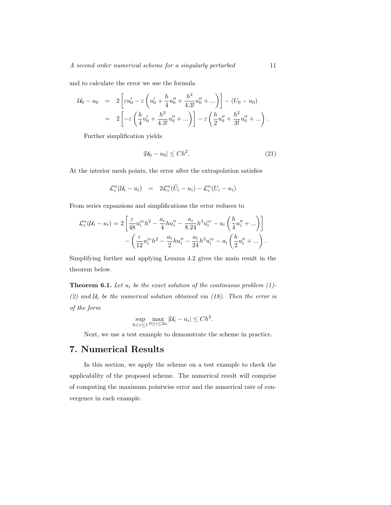and to calculate the error we use the formula

$$
U_0 - u_0 = 2 \left[ \varepsilon u'_0 - \varepsilon \left( u'_0 + \frac{h}{4} u''_0 + \frac{h^2}{4 \cdot 3!} u''_0 + \dots \right) \right] - (U_0 - u_0)
$$
  
= 
$$
2 \left[ -\varepsilon \left( \frac{h}{4} u'_0 + \frac{h^2}{4 \cdot 3!} u''_0 + \dots \right) \right] - \varepsilon \left( \frac{h}{2} u''_0 + \frac{h^2}{3!} u''_0 + \dots \right).
$$

Further simplification yields

$$
|\mathcal{U}_0 - u_0| \le Ch^2. \tag{21}
$$

At the interior mesh points, the error after the extrapolation satisfies

$$
\mathcal{L}_{\varepsilon}^n(\mathcal{U}_i - u_i) = 2\mathcal{L}_{\varepsilon}^n(\tilde{U}_i - u_i) - \mathcal{L}_{\varepsilon}^n(U_i - u_i)
$$

From series expansions and simplifications the error reduces to

$$
\mathcal{L}_{\varepsilon}^{n}(U_{i}-u_{i})=2\left[\frac{\varepsilon}{48}u_{i}^{iv}h^{2}-\frac{a_{i}}{4}hu''_{i}-\frac{a_{i}}{8.24}h^{3}u_{i}^{iv}-a_{i}\left(\frac{h}{4}u''_{i}+...\right)\right]
$$

$$
-\left(\frac{\varepsilon}{12}u_{i}^{iv}h^{2}-\frac{a_{i}}{2}hu''_{i}-\frac{a_{i}}{24}h^{3}u_{i}^{iv}-a_{i}\left(\frac{h}{2}u''_{i}+...\right)\right).
$$

Simplifying further and applying Lemma 4.2 gives the main result in the theorem below.

**Theorem 6.1.** Let  $u_i$  be the exact solution of the continuous problem  $(1)$ -(2) and  $\mathcal{U}_i$  be the numerical solution obtained via (18). Then the error is of the form

$$
\sup_{0 < \varepsilon \le 1} \max_{0 \le i \le 2n} |\mathcal{U}_i - u_i| \le Ch^2.
$$

Next, we use a test example to demonstrate the scheme in practice.

# 7. Numerical Results

In this section, we apply the scheme on a test example to check the applicability of the proposed scheme. The numerical result will comprise of computing the maximum pointwise error and the numerical rate of convergence in each example.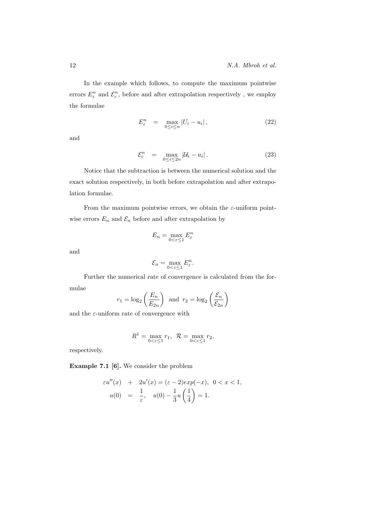In the example which follows, to compute the maximum pointwise errors  $E_{\varepsilon}^n$  and  $\mathcal{E}_{\varepsilon}^n$ , before and after extrapolation respectively , we employ the formulae

$$
E_{\varepsilon}^{n} = \max_{0 \le i \le n} |U_{i} - u_{i}|,
$$
\n(22)

and

$$
\mathcal{E}_{\varepsilon}^{n} = \max_{0 \le i \le 2n} |\mathcal{U}_{i} - u_{i}|.
$$
 (23)

Notice that the subtraction is between the numerical solution and the exact solution respectively, in both before extrapolation and after extrapolation formulae.

From the maximum pointwise errors, we obtain the  $\varepsilon$ -uniform pointwise errors  $E_n$  and  $\mathcal{E}_n$  before and after extrapolation by

$$
E_n = \max_{0 < \varepsilon \le 1} E^n_\varepsilon
$$

and

$$
\mathcal{E}_n = \max_{0 < \varepsilon \le 1} E^n_{\varepsilon}.
$$

Further the numerical rate of convergence is calculated from the formulae

$$
r_1 = \log_2\left(\frac{E_n}{E_{2n}}\right)
$$
 and  $r_2 = \log_2\left(\frac{\mathcal{E}_n}{\mathcal{E}_{2n}}\right)$ 

and the  $\varepsilon$ -uniform rate of convergence with

$$
R^1 = \max_{0 < \varepsilon \le 1} r_1, \quad R = \max_{0 < \varepsilon \le 1} r_2,
$$

respectively.

Example 7.1 [6]. We consider the problem

$$
\varepsilon u''(x) + 2u'(x) = (\varepsilon - 2)exp(-x), \ 0 < x < 1,
$$
  
\n
$$
u(0) = \frac{1}{\varepsilon}, \ u(0) - \frac{1}{3}u\left(\frac{1}{4}\right) = 1.
$$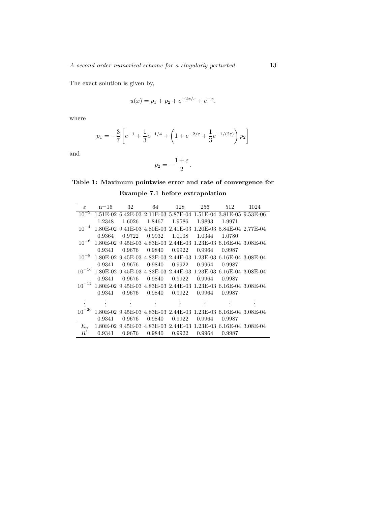The exact solution is given by,

$$
u(x) = p_1 + p_2 + e^{-2x/\varepsilon} + e^{-x},
$$

where

$$
p_1 = -\frac{3}{7} \left[ e^{-1} + \frac{1}{3} e^{-1/4} + \left( 1 + e^{-2/\varepsilon} + \frac{1}{3} e^{-1/(2\varepsilon)} \right) p_2 \right]
$$

and

$$
p_2=-\frac{1+\varepsilon}{2}.
$$

#### Table 1: Maximum pointwise error and rate of convergence for

Example 7.1 before extrapolation

|            |        | $\varepsilon$ n=16 32 64 128                                              |                 |        | - 256         | 512    | 1024 |
|------------|--------|---------------------------------------------------------------------------|-----------------|--------|---------------|--------|------|
| $10^{-2}$  |        | 1.51E-02 6.42E-03 2.11E-03 5.87E-04 1.51E-04 3.81E-05 9.53E-06            |                 |        |               |        |      |
|            | 1.2348 | 1.6026                                                                    | 1.8467 1.9586   |        | 1.9893        | 1.9971 |      |
|            |        | $10^{-4}$ 1.80E-02 9.41E-03 4.80E-03 2.41E-03 1.20E-03 5.84E-04 2.77E-04  |                 |        |               |        |      |
|            | 0.9364 | 0.9722                                                                    | $0.9932$ 1.0108 |        | 1.0344        | 1.0780 |      |
|            |        | $10^{-6}$ 1.80E-02 9.45E-03 4.83E-03 2.44E-03 1.23E-03 6.16E-04 3.08E-04  |                 |        |               |        |      |
|            | 0.9341 | 0.9676                                                                    | 0.9840          | 0.9922 | 0.9964        | 0.9987 |      |
|            |        | $10^{-8}$ 1.80E-02 9.45E-03 4.83E-03 2.44E-03 1.23E-03 6.16E-04 3.08E-04  |                 |        |               |        |      |
|            | 0.9341 | 0.9676                                                                    | 0.9840          | 0.9922 | 0.9964        | 0.9987 |      |
|            |        | $10^{-10}$ 1.80E-02 9.45E-03 4.83E-03 2.44E-03 1.23E-03 6.16E-04 3.08E-04 |                 |        |               |        |      |
|            | 0.9341 | 0.9676 0.9840 0.9922                                                      |                 |        | 0.9964        | 0.9987 |      |
|            |        | $10^{-12}$ 1.80E-02 9.45E-03 4.83E-03 2.44E-03 1.23E-03 6.16E-04 3.08E-04 |                 |        |               |        |      |
|            |        | 0.9341 0.9676 0.9840 0.9922 0.9964 0.9987                                 |                 |        |               |        |      |
|            |        |                                                                           |                 |        |               |        |      |
| $10^{-20}$ |        | 1.80E-02 9.45E-03 4.83E-03 2.44E-03 1.23E-03 6.16E-04 3.08E-04            |                 |        |               |        |      |
|            |        |                                                                           |                 |        |               |        |      |
|            |        | 0.9341 0.9676                                                             | 0.9840 0.9922   |        | 0.9964 0.9987 |        |      |
|            |        | $E_n$ 1.80E-02 9.45E-03 4.83E-03 2.44E-03 1.23E-03 6.16E-04 3.08E-04      |                 |        |               |        |      |
| $R^1$      | 0.9341 | 0.9676                                                                    | 0.9840 0.9922   |        | 0.9964        | 0.9987 |      |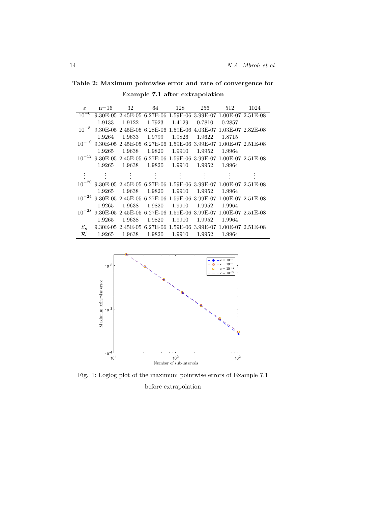Table 2: Maximum pointwise error and rate of convergence for Example 7.1 after extrapolation

| $\varepsilon$ | $n=16$ | 32 64                                |                                                         | 128    | 256    | 512                                                                            | 1024 |
|---------------|--------|--------------------------------------|---------------------------------------------------------|--------|--------|--------------------------------------------------------------------------------|------|
| $10^{-6}$     |        |                                      |                                                         |        |        | 9.30E-05 2.45E-05 6.27E-06 1.59E-06 3.99E-07 1.00E-07 2.51E-08                 |      |
|               | 1.9133 | 1.9122                               | 1.7923                                                  | 1.4129 | 0.7810 | 0.2857                                                                         |      |
|               |        |                                      | $10^{-8}$ 9.30E-05 2.45E-05 6.28E-06 1.59E-06 4.03E-07  |        |        | 1.03E-07 2.82E-08                                                              |      |
|               | 1.9264 | 1.9633                               | 1.9799                                                  | 1.9826 | 1.9622 | 1.8715                                                                         |      |
|               |        |                                      | $10^{-10}$ 9.30E-05 2.45E-05 6.27E-06 1.59E-06 3.99E-07 |        |        | $1.00E-07$ $2.51E-08$                                                          |      |
|               | 1.9265 | 1.9638                               | 1.9820                                                  | 1.9910 | 1.9952 | 1.9964                                                                         |      |
|               |        |                                      |                                                         |        |        | $10^{-12}$ 9.30E-05 2.45E-05 6.27E-06 1.59E-06 3.99E-07 1.00E-07 2.51E-08      |      |
|               |        | 1.9265 1.9638 1.9820                 |                                                         | 1.9910 | 1.9952 | 1.9964                                                                         |      |
|               |        |                                      |                                                         |        |        |                                                                                |      |
|               |        |                                      |                                                         |        |        | $10^{-20}$ 9.30E-05 2.45E-05 6.27E-06 1.59E-06 3.99E-07 1.00E-07 2.51E-08      |      |
|               |        |                                      | 1.9265 1.9638 1.9820 1.9910                             |        | 1.9952 | 1.9964                                                                         |      |
|               |        |                                      |                                                         |        |        | $10^{-24}$ 9.30E-05 2.45E-05 6.27E-06 1.59E-06 3.99E-07 1.00E-07 2.51E-08      |      |
|               | 1.9265 | 1.9638                               | 1.9820                                                  | 1.9910 | 1.9952 | 1.9964                                                                         |      |
|               |        |                                      |                                                         |        |        | $10^{-28}$ 9.30E-05 2.45E-05 6.27E-06 1.59E-06 3.99E-07 1.00E-07 2.51E-08      |      |
|               | 1.9265 | 1.9638                               | 1.9820                                                  | 1.9910 | 1.9952 | 1.9964                                                                         |      |
|               |        |                                      |                                                         |        |        | $\mathcal{E}_n$ 9.30E-05 2.45E-05 6.27E-06 1.59E-06 3.99E-07 1.00E-07 2.51E-08 |      |
|               |        | $\mathcal{R}^1$ 1.9265 1.9638 1.9820 |                                                         | 1.9910 | 1.9952 | 1.9964                                                                         |      |



Fig. 1: Loglog plot of the maximum pointwise errors of Example 7.1 before extrapolation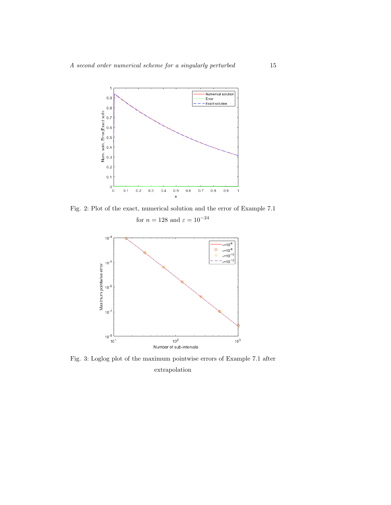

Fig. 2: Plot of the exact, numerical solution and the error of Example 7.1

for  $n=128$  and  $\varepsilon=10^{-24}$ 



Fig. 3: Loglog plot of the maximum pointwise errors of Example 7.1 after extrapolation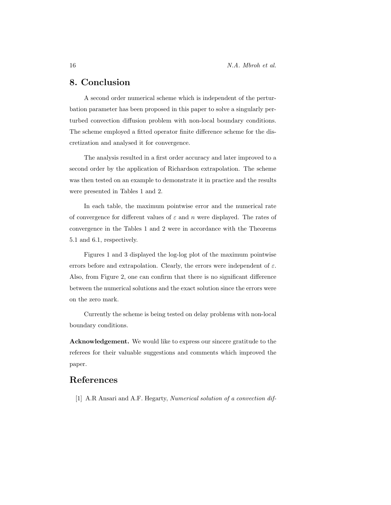### 8. Conclusion

A second order numerical scheme which is independent of the perturbation parameter has been proposed in this paper to solve a singularly perturbed convection diffusion problem with non-local boundary conditions. The scheme employed a fitted operator finite difference scheme for the discretization and analysed it for convergence.

The analysis resulted in a first order accuracy and later improved to a second order by the application of Richardson extrapolation. The scheme was then tested on an example to demonstrate it in practice and the results were presented in Tables 1 and 2.

In each table, the maximum pointwise error and the numerical rate of convergence for different values of  $\varepsilon$  and n were displayed. The rates of convergence in the Tables 1 and 2 were in accordance with the Theorems 5.1 and 6.1, respectively.

Figures 1 and 3 displayed the log-log plot of the maximum pointwise errors before and extrapolation. Clearly, the errors were independent of  $\varepsilon$ . Also, from Figure 2, one can confirm that there is no significant difference between the numerical solutions and the exact solution since the errors were on the zero mark.

Currently the scheme is being tested on delay problems with non-local boundary conditions.

Acknowledgement. We would like to express our sincere gratitude to the referees for their valuable suggestions and comments which improved the paper.

# References

[1] A.R Ansari and A.F. Hegarty, Numerical solution of a convection dif-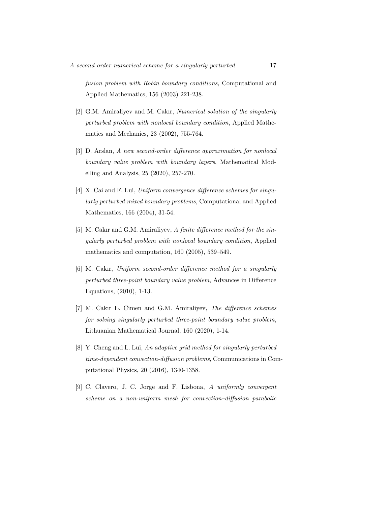fusion problem with Robin boundary conditions, Computational and Applied Mathematics, 156 (2003) 221-238.

- [2] G.M. Amiraliyev and M. Cakır, Numerical solution of the singularly perturbed problem with nonlocal boundary condition, Applied Mathematics and Mechanics, 23 (2002), 755-764.
- [3] D. Arslan, A new second-order difference approximation for nonlocal boundary value problem with boundary layers, Mathematical Modelling and Analysis, 25 (2020), 257-270.
- [4] X. Cai and F. Lui, Uniform convergence difference schemes for singularly perturbed mixed boundary problems, Computational and Applied Mathematics, 166 (2004), 31-54.
- [5] M. Cakır and G.M. Amiraliyev, A finite difference method for the singularly perturbed problem with nonlocal boundary condition, Applied mathematics and computation, 160 (2005), 539–549.
- [6] M. Cakır, Uniform second-order difference method for a singularly perturbed three-point boundary value problem, Advances in Difference Equations, (2010), 1-13.
- [7] M. Cakır E. Cimen and G.M. Amiraliyev, The difference schemes for solving singularly perturbed three-point boundary value problem, Lithuanian Mathematical Journal, 160 (2020), 1-14.
- [8] Y. Cheng and L. Lui, An adaptive grid method for singularly perturbed time-dependent convection-diffusion problems, Communications in Computational Physics, 20 (2016), 1340-1358.
- [9] C. Clavero, J. C. Jorge and F. Lisbona, A uniformly convergent scheme on a non-uniform mesh for convection–diffusion parabolic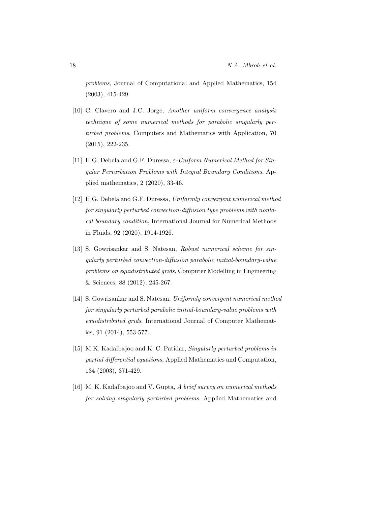problems, Journal of Computational and Applied Mathematics, 154 (2003), 415-429.

- [10] C. Clavero and J.C. Jorge, Another uniform convergence analysis technique of some numerical methods for parabolic singularly perturbed problems, Computers and Mathematics with Application, 70 (2015), 222-235.
- [11] H.G. Debela and G.F. Duressa,  $\varepsilon$ -Uniform Numerical Method for Singular Perturbation Problems with Integral Boundary Conditions, Applied mathematics, 2 (2020), 33-46.
- [12] H.G. Debela and G.F. Duressa, Uniformly convergent numerical method for singularly perturbed convection-diffusion type problems with nonlocal boundary condition, International Journal for Numerical Methods in Fluids, 92 (2020), 1914-1926.
- [13] S. Gowrisankar and S. Natesan, Robust numerical scheme for singularly perturbed convection-diffusion parabolic initial-boundary-value problems on equidistributed grids, Computer Modelling in Engineering & Sciences, 88 (2012), 245-267.
- [14] S. Gowrisankar and S. Natesan, Uniformly convergent numerical method for singularly perturbed parabolic initial-boundary-value problems with equidistributed grids, International Journal of Computer Mathematics, 91 (2014), 553-577.
- [15] M.K. Kadalbajoo and K. C. Patidar, Singularly perturbed problems in partial differential equations, Applied Mathematics and Computation, 134 (2003), 371-429.
- [16] M. K. Kadalbajoo and V. Gupta, A brief survey on numerical methods for solving singularly perturbed problems, Applied Mathematics and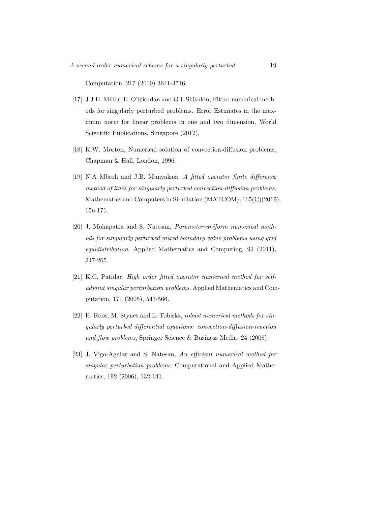Computation, 217 (2010) 3641-3716.

- [17] J.J.H. Miller, E. O'Riordan and G.I. Shishkin, Fitted numerical methods for singularly perturbed problems. Error Estimates in the maximum norm for linear problems in one and two dimension, World Scientific Publications, Singapore (2012).
- [18] K.W. Morton, Numerical solution of convection-diffusion problems, Chapman & Hall, London, 1996.
- [19] N.A Mbroh and J.B. Munyakazi, A fitted operator finite difference method of lines for singularly perturbed convection-diffusion problems, Mathematics and Computers in Simulation (MATCOM), 165(C)(2019), 156-171.
- [20] J. Mohapatra and S. Natesan, Parameter-uniform numerical methods for singularly perturbed mixed boundary value problems using grid equidistribution, Applied Mathematics and Computing, 92 (2011), 247-265.
- [21] K.C. Patidar, *High order fitted operator numerical method for self*adjoint singular perturbation problems, Applied Mathematics and Computation, 171 (2005), 547-566.
- [22] H. Roos, M. Stynes and L. Tobiska, robust numerical methods for singularly perturbed differential equations: convection-diffusion-reaction and flow problems, Springer Science & Business Media, 24 (2008),
- [23] J. Vigo-Aguiar and S. Natesan, An efficient numerical method for singular perturbation problems, Computational and Applied Mathematics, 192 (2006), 132-141.